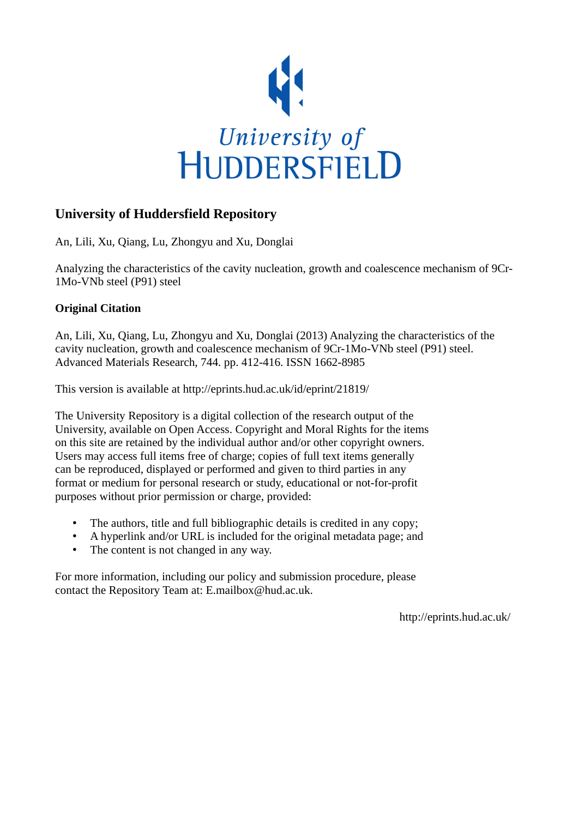

# **University of Huddersfield Repository**

An, Lili, Xu, Qiang, Lu, Zhongyu and Xu, Donglai

Analyzing the characteristics of the cavity nucleation, growth and coalescence mechanism of 9Cr-1Mo-VNb steel (P91) steel

## **Original Citation**

An, Lili, Xu, Qiang, Lu, Zhongyu and Xu, Donglai (2013) Analyzing the characteristics of the cavity nucleation, growth and coalescence mechanism of 9Cr-1Mo-VNb steel (P91) steel. Advanced Materials Research, 744. pp. 412-416. ISSN 1662-8985

This version is available at http://eprints.hud.ac.uk/id/eprint/21819/

The University Repository is a digital collection of the research output of the University, available on Open Access. Copyright and Moral Rights for the items on this site are retained by the individual author and/or other copyright owners. Users may access full items free of charge; copies of full text items generally can be reproduced, displayed or performed and given to third parties in any format or medium for personal research or study, educational or not-for-profit purposes without prior permission or charge, provided:

- The authors, title and full bibliographic details is credited in any copy;
- A hyperlink and/or URL is included for the original metadata page; and
- The content is not changed in any way.

For more information, including our policy and submission procedure, please contact the Repository Team at: E.mailbox@hud.ac.uk.

http://eprints.hud.ac.uk/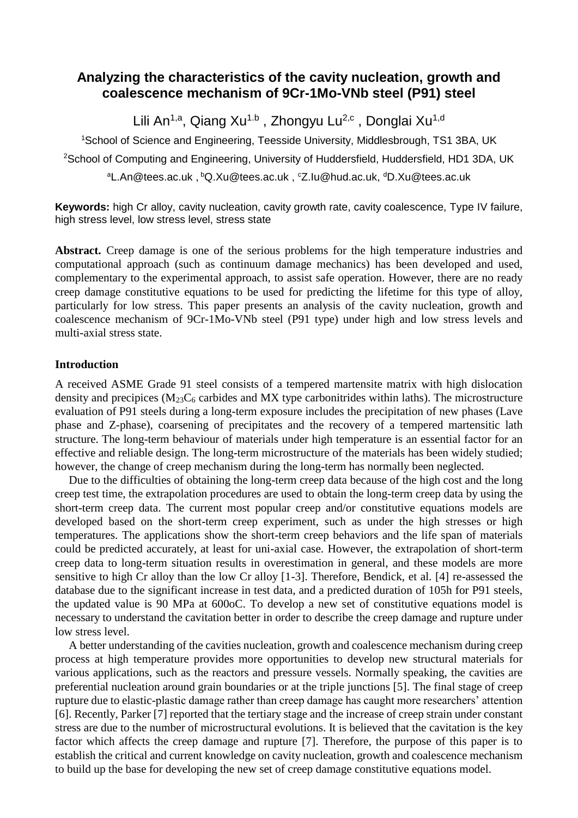## **Analyzing the characteristics of the cavity nucleation, growth and coalescence mechanism of 9Cr-1Mo-VNb steel (P91) steel**

Lili An<sup>1,a</sup>, Qiang Xu<sup>1.b</sup>, Zhongyu Lu<sup>2,c</sup>, Donglai Xu<sup>1,d</sup>

<sup>1</sup>School of Science and Engineering, Teesside University, Middlesbrough, TS1 3BA, UK <sup>2</sup>School of Computing and Engineering, University of Huddersfield, Huddersfield, HD1 3DA, UK aL.An@tees.ac.uk, bQ.Xu@tees.ac.uk, cZ.Iu@hud.ac.uk, dD.Xu@tees.ac.uk

**Keywords:** high Cr alloy, cavity nucleation, cavity growth rate, cavity coalescence, Type IV failure, high stress level, low stress level, stress state

**Abstract.** Creep damage is one of the serious problems for the high temperature industries and computational approach (such as continuum damage mechanics) has been developed and used, complementary to the experimental approach, to assist safe operation. However, there are no ready creep damage constitutive equations to be used for predicting the lifetime for this type of alloy, particularly for low stress. This paper presents an analysis of the cavity nucleation, growth and coalescence mechanism of 9Cr-1Mo-VNb steel (P91 type) under high and low stress levels and multi-axial stress state.

## **Introduction**

A received ASME Grade 91 steel consists of a tempered martensite matrix with high dislocation density and precipices  $(M_{23}C_6$  carbides and MX type carbonitrides within laths). The microstructure evaluation of P91 steels during a long-term exposure includes the precipitation of new phases (Lave phase and Z-phase), coarsening of precipitates and the recovery of a tempered martensitic lath structure. The long-term behaviour of materials under high temperature is an essential factor for an effective and reliable design. The long-term microstructure of the materials has been widely studied; however, the change of creep mechanism during the long-term has normally been neglected.

Due to the difficulties of obtaining the long-term creep data because of the high cost and the long creep test time, the extrapolation procedures are used to obtain the long-term creep data by using the short-term creep data. The current most popular creep and/or constitutive equations models are developed based on the short-term creep experiment, such as under the high stresses or high temperatures. The applications show the short-term creep behaviors and the life span of materials could be predicted accurately, at least for uni-axial case. However, the extrapolation of short-term creep data to long-term situation results in overestimation in general, and these models are more sensitive to high Cr alloy than the low Cr alloy [1-3]. Therefore, Bendick, et al. [4] re-assessed the database due to the significant increase in test data, and a predicted duration of 105h for P91 steels, the updated value is 90 MPa at 600oC. To develop a new set of constitutive equations model is necessary to understand the cavitation better in order to describe the creep damage and rupture under low stress level.

A better understanding of the cavities nucleation, growth and coalescence mechanism during creep process at high temperature provides more opportunities to develop new structural materials for various applications, such as the reactors and pressure vessels. Normally speaking, the cavities are preferential nucleation around grain boundaries or at the triple junctions [5]. The final stage of creep rupture due to elastic-plastic damage rather than creep damage has caught more researchers' attention [6]. Recently, Parker [7] reported that the tertiary stage and the increase of creep strain under constant stress are due to the number of microstructural evolutions. It is believed that the cavitation is the key factor which affects the creep damage and rupture [7]. Therefore, the purpose of this paper is to establish the critical and current knowledge on cavity nucleation, growth and coalescence mechanism to build up the base for developing the new set of creep damage constitutive equations model.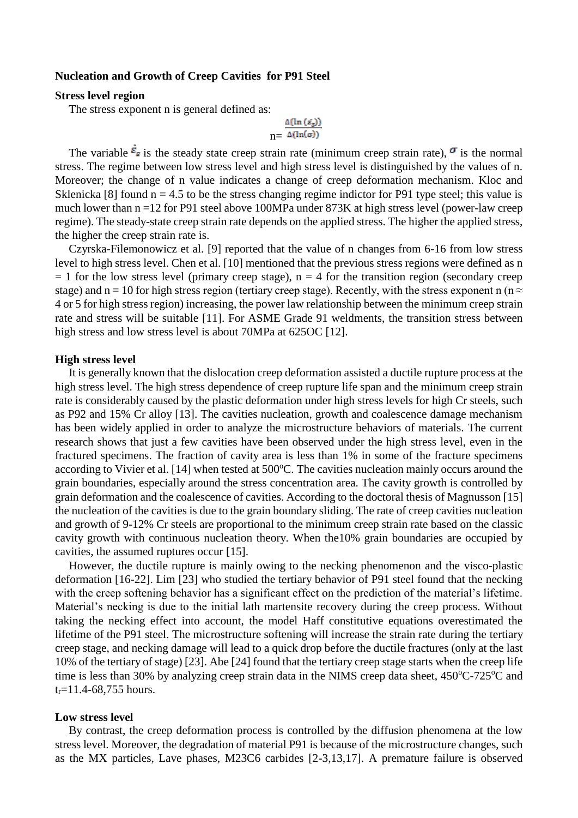#### **Nucleation and Growth of Creep Cavities for P91 Steel**

### **Stress level region**

The stress exponent n is general defined as:

$$
\ln \frac{\Delta(\ln{(\varepsilon_g)})}{\Delta(\ln(\sigma))}
$$

The variable  $\vec{\epsilon}_s$  is the steady state creep strain rate (minimum creep strain rate),  $\sigma$  is the normal stress. The regime between low stress level and high stress level is distinguished by the values of n. Moreover; the change of n value indicates a change of creep deformation mechanism. Kloc and Sklenicka [8] found  $n = 4.5$  to be the stress changing regime indictor for P91 type steel; this value is much lower than n =12 for P91 steel above 100MPa under 873K at high stress level (power-law creep regime). The steady-state creep strain rate depends on the applied stress. The higher the applied stress, the higher the creep strain rate is.

Czyrska-Filemonowicz et al. [9] reported that the value of n changes from 6-16 from low stress level to high stress level. Chen et al. [10] mentioned that the previous stress regions were defined as n  $= 1$  for the low stress level (primary creep stage),  $n = 4$  for the transition region (secondary creep stage) and n = 10 for high stress region (tertiary creep stage). Recently, with the stress exponent n (n  $\approx$ 4 or 5 for high stress region) increasing, the power law relationship between the minimum creep strain rate and stress will be suitable [11]. For ASME Grade 91 weldments, the transition stress between high stress and low stress level is about 70MPa at 625OC [12].

### **High stress level**

It is generally known that the dislocation creep deformation assisted a ductile rupture process at the high stress level. The high stress dependence of creep rupture life span and the minimum creep strain rate is considerably caused by the plastic deformation under high stress levels for high Cr steels, such as P92 and 15% Cr alloy [13]. The cavities nucleation, growth and coalescence damage mechanism has been widely applied in order to analyze the microstructure behaviors of materials. The current research shows that just a few cavities have been observed under the high stress level, even in the fractured specimens. The fraction of cavity area is less than 1% in some of the fracture specimens according to Vivier et al. [14] when tested at 500°C. The cavities nucleation mainly occurs around the grain boundaries, especially around the stress concentration area. The cavity growth is controlled by grain deformation and the coalescence of cavities. According to the doctoral thesis of Magnusson [15] the nucleation of the cavities is due to the grain boundary sliding. The rate of creep cavities nucleation and growth of 9-12% Cr steels are proportional to the minimum creep strain rate based on the classic cavity growth with continuous nucleation theory. When the10% grain boundaries are occupied by cavities, the assumed ruptures occur [15].

However, the ductile rupture is mainly owing to the necking phenomenon and the visco-plastic deformation [16-22]. Lim [23] who studied the tertiary behavior of P91 steel found that the necking with the creep softening behavior has a significant effect on the prediction of the material's lifetime. Material's necking is due to the initial lath martensite recovery during the creep process. Without taking the necking effect into account, the model Haff constitutive equations overestimated the lifetime of the P91 steel. The microstructure softening will increase the strain rate during the tertiary creep stage, and necking damage will lead to a quick drop before the ductile fractures (only at the last 10% of the tertiary of stage) [23]. Abe [24] found that the tertiary creep stage starts when the creep life time is less than 30% by analyzing creep strain data in the NIMS creep data sheet,  $450^{\circ}$ C-725 $^{\circ}$ C and  $t_r = 11.4 - 68,755$  hours.

#### **Low stress level**

By contrast, the creep deformation process is controlled by the diffusion phenomena at the low stress level. Moreover, the degradation of material P91 is because of the microstructure changes, such as the MX particles, Lave phases, M23C6 carbides [2-3,13,17]. A premature failure is observed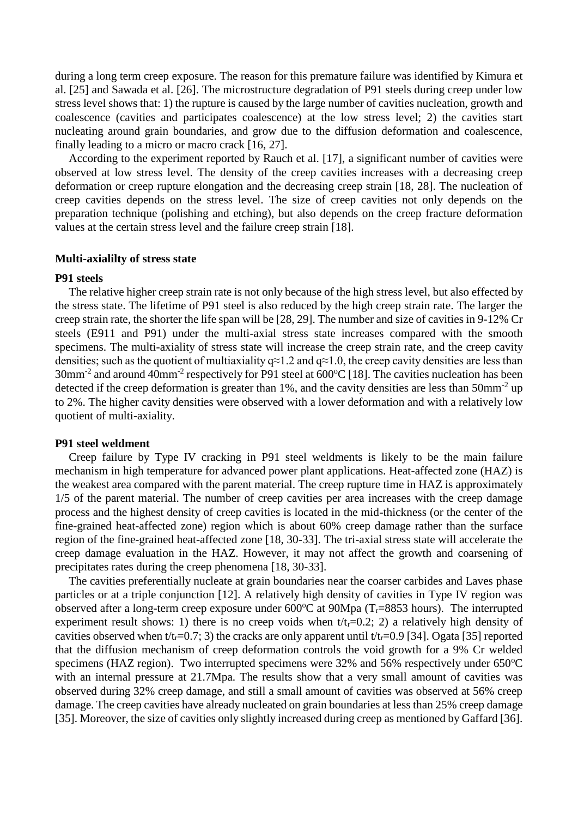during a long term creep exposure. The reason for this premature failure was identified by Kimura et al. [25] and Sawada et al. [26]. The microstructure degradation of P91 steels during creep under low stress level shows that: 1) the rupture is caused by the large number of cavities nucleation, growth and coalescence (cavities and participates coalescence) at the low stress level; 2) the cavities start nucleating around grain boundaries, and grow due to the diffusion deformation and coalescence, finally leading to a micro or macro crack [16, 27].

According to the experiment reported by Rauch et al. [17], a significant number of cavities were observed at low stress level. The density of the creep cavities increases with a decreasing creep deformation or creep rupture elongation and the decreasing creep strain [18, 28]. The nucleation of creep cavities depends on the stress level. The size of creep cavities not only depends on the preparation technique (polishing and etching), but also depends on the creep fracture deformation values at the certain stress level and the failure creep strain [18].

#### **Multi-axialilty of stress state**

#### **P91 steels**

The relative higher creep strain rate is not only because of the high stress level, but also effected by the stress state. The lifetime of P91 steel is also reduced by the high creep strain rate. The larger the creep strain rate, the shorter the life span will be [28, 29]. The number and size of cavities in 9-12% Cr steels (E911 and P91) under the multi-axial stress state increases compared with the smooth specimens. The multi-axiality of stress state will increase the creep strain rate, and the creep cavity densities; such as the quotient of multiaxiality  $q\approx 1.2$  and  $q\approx 1.0$ , the creep cavity densities are less than  $30$ mm<sup>-2</sup> and around  $40$ mm<sup>-2</sup> respectively for P91 steel at  $600^{\circ}$ C [18]. The cavities nucleation has been detected if the creep deformation is greater than 1%, and the cavity densities are less than 50mm<sup>-2</sup> up to 2%. The higher cavity densities were observed with a lower deformation and with a relatively low quotient of multi-axiality.

#### **P91 steel weldment**

Creep failure by Type IV cracking in P91 steel weldments is likely to be the main failure mechanism in high temperature for advanced power plant applications. Heat-affected zone (HAZ) is the weakest area compared with the parent material. The creep rupture time in HAZ is approximately 1/5 of the parent material. The number of creep cavities per area increases with the creep damage process and the highest density of creep cavities is located in the mid-thickness (or the center of the fine-grained heat-affected zone) region which is about 60% creep damage rather than the surface region of the fine-grained heat-affected zone [18, 30-33]. The tri-axial stress state will accelerate the creep damage evaluation in the HAZ. However, it may not affect the growth and coarsening of precipitates rates during the creep phenomena [18, 30-33].

The cavities preferentially nucleate at grain boundaries near the coarser carbides and Laves phase particles or at a triple conjunction [12]. A relatively high density of cavities in Type IV region was observed after a long-term creep exposure under  $600^{\circ}$ C at  $90$ Mpa (T<sub>r</sub>=8853 hours). The interrupted experiment result shows: 1) there is no creep voids when  $t/t_r=0.2$ ; 2) a relatively high density of cavities observed when  $t/t_r=0.7$ ; 3) the cracks are only apparent until  $t/t_r=0.9$  [34]. Ogata [35] reported that the diffusion mechanism of creep deformation controls the void growth for a 9% Cr welded specimens (HAZ region). Two interrupted specimens were  $32\%$  and  $56\%$  respectively under  $650^{\circ}$ C with an internal pressure at 21.7Mpa. The results show that a very small amount of cavities was observed during 32% creep damage, and still a small amount of cavities was observed at 56% creep damage. The creep cavities have already nucleated on grain boundaries at less than 25% creep damage [35]. Moreover, the size of cavities only slightly increased during creep as mentioned by Gaffard [36].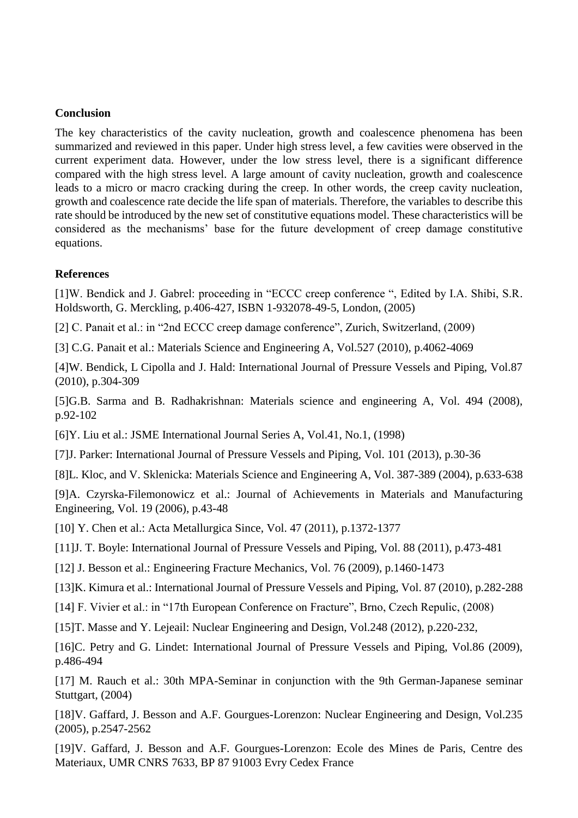## **Conclusion**

The key characteristics of the cavity nucleation, growth and coalescence phenomena has been summarized and reviewed in this paper. Under high stress level, a few cavities were observed in the current experiment data. However, under the low stress level, there is a significant difference compared with the high stress level. A large amount of cavity nucleation, growth and coalescence leads to a micro or macro cracking during the creep. In other words, the creep cavity nucleation, growth and coalescence rate decide the life span of materials. Therefore, the variables to describe this rate should be introduced by the new set of constitutive equations model. These characteristics will be considered as the mechanisms' base for the future development of creep damage constitutive equations.

## **References**

[1]W. Bendick and J. Gabrel: proceeding in "ECCC creep conference ", Edited by I.A. Shibi, S.R. Holdsworth, G. Merckling, p.406-427, ISBN 1-932078-49-5, London, (2005)

[2] C. Panait et al.: in "2nd ECCC creep damage conference", Zurich, Switzerland, (2009)

[3] C.G. Panait et al.: Materials Science and Engineering A, Vol.527 (2010), p.4062-4069

[4]W. Bendick, L Cipolla and J. Hald: International Journal of Pressure Vessels and Piping, Vol.87 (2010), p.304-309

[5]G.B. Sarma and B. Radhakrishnan: Materials science and engineering A, Vol. 494 (2008), p.92-102

[6]Y. Liu et al.: JSME International Journal Series A, Vol.41, No.1, (1998)

[7]J. Parker: International Journal of Pressure Vessels and Piping, Vol. 101 (2013), p.30-36

[8]L. Kloc, and V. Sklenicka: Materials Science and Engineering A, Vol. 387-389 (2004), p.633-638

[9]A. Czyrska-Filemonowicz et al.: Journal of Achievements in Materials and Manufacturing Engineering, Vol. 19 (2006), p.43-48

[10] Y. Chen et al.: Acta Metallurgica Since, Vol. 47 (2011), p.1372-1377

[11]J. T. Boyle: International Journal of Pressure Vessels and Piping, Vol. 88 (2011), p.473-481

[12] J. Besson et al.: Engineering Fracture Mechanics, Vol. 76 (2009), p.1460-1473

[13]K. Kimura et al.: International Journal of Pressure Vessels and Piping, Vol. 87 (2010), p.282-288

[14] F. Vivier et al.: in "17th European Conference on Fracture", Brno, Czech Repulic, (2008)

[15]T. Masse and Y. Lejeail: Nuclear Engineering and Design, Vol.248 (2012), p.220-232,

[16]C. Petry and G. Lindet: International Journal of Pressure Vessels and Piping, Vol.86 (2009), p.486-494

[17] M. Rauch et al.: 30th MPA-Seminar in conjunction with the 9th German-Japanese seminar Stuttgart, (2004)

[18]V. Gaffard, J. Besson and A.F. Gourgues-Lorenzon: Nuclear Engineering and Design, Vol.235 (2005), p.2547-2562

[19]V. Gaffard, J. Besson and A.F. Gourgues-Lorenzon: Ecole des Mines de Paris, Centre des Materiaux, UMR CNRS 7633, BP 87 91003 Evry Cedex France